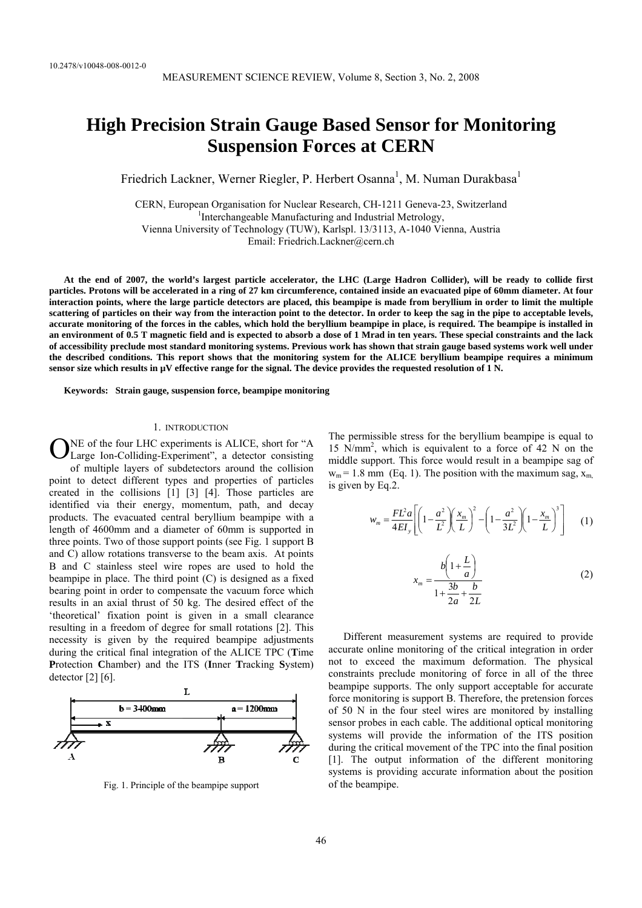# **High Precision Strain Gauge Based Sensor for Monitoring Suspension Forces at CERN**

Friedrich Lackner, Werner Riegler, P. Herbert Osanna<sup>1</sup>, M. Numan Durakbasa<sup>1</sup>

CERN, European Organisation for Nuclear Research, CH-1211 Geneva-23, Switzerland 1 <sup>1</sup>Interchangeable Manufacturing and Industrial Metrology, Vienna University of Technology (TUW), Karlspl. 13/3113, A-1040 Vienna, Austria Email: Friedrich.Lackner@cern.ch

**At the end of 2007, the world's largest particle accelerator, the LHC (Large Hadron Collider), will be ready to collide first particles. Protons will be accelerated in a ring of 27 km circumference, contained inside an evacuated pipe of 60mm diameter. At four interaction points, where the large particle detectors are placed, this beampipe is made from beryllium in order to limit the multiple scattering of particles on their way from the interaction point to the detector. In order to keep the sag in the pipe to acceptable levels, accurate monitoring of the forces in the cables, which hold the beryllium beampipe in place, is required. The beampipe is installed in an environment of 0.5 T magnetic field and is expected to absorb a dose of 1 Mrad in ten years. These special constraints and the lack of accessibility preclude most standard monitoring systems. Previous work has shown that strain gauge based systems work well under the described conditions. This report shows that the monitoring system for the ALICE beryllium beampipe requires a minimum sensor size which results in µV effective range for the signal. The device provides the requested resolution of 1 N.** 

**Keywords: Strain gauge, suspension force, beampipe monitoring** 

#### 1. INTRODUCTION

ONE of the four LHC experiments is ALICE, short for "A Large Ion-Colliding-Experiment", a detector consisting Large Ion-Colliding-Experiment", a detector consisting of multiple layers of subdetectors around the collision point to detect different types and properties of particles created in the collisions [1] [3] [4]. Those particles are identified via their energy, momentum, path, and decay products. The evacuated central beryllium beampipe with a length of 4600mm and a diameter of 60mm is supported in three points. Two of those support points (see Fig. 1 support B and C) allow rotations transverse to the beam axis. At points B and C stainless steel wire ropes are used to hold the beampipe in place. The third point (C) is designed as a fixed bearing point in order to compensate the vacuum force which results in an axial thrust of 50 kg. The desired effect of the 'theoretical' fixation point is given in a small clearance resulting in a freedom of degree for small rotations [2]. This necessity is given by the required beampipe adjustments during the critical final integration of the ALICE TPC (**T**ime **P**rotection **C**hamber) and the ITS (**I**nner **T**racking **S**ystem) detector [2] [6].



Fig. 1. Principle of the beampipe support

The permissible stress for the beryllium beampipe is equal to 15 N/mm2 , which is equivalent to a force of 42 N on the middle support. This force would result in a beampipe sag of  $w_m$  = 1.8 mm (Eq. 1). The position with the maximum sag,  $x_m$ is given by Eq.2.

$$
w_m = \frac{FL^2a}{4EI_y} \left[ \left( 1 - \frac{a^2}{L^2} \right) \left( \frac{x_m}{L} \right)^2 - \left( 1 - \frac{a^2}{3L^2} \right) \left( 1 - \frac{x_m}{L} \right)^3 \right] \tag{1}
$$

$$
x_{m} = \frac{b\left(1 + \frac{L}{a}\right)}{1 + \frac{3b}{2a} + \frac{b}{2L}}
$$
 (2)

Different measurement systems are required to provide accurate online monitoring of the critical integration in order not to exceed the maximum deformation. The physical constraints preclude monitoring of force in all of the three beampipe supports. The only support acceptable for accurate force monitoring is support B. Therefore, the pretension forces of 50 N in the four steel wires are monitored by installing sensor probes in each cable. The additional optical monitoring systems will provide the information of the ITS position during the critical movement of the TPC into the final position [1]. The output information of the different monitoring systems is providing accurate information about the position of the beampipe.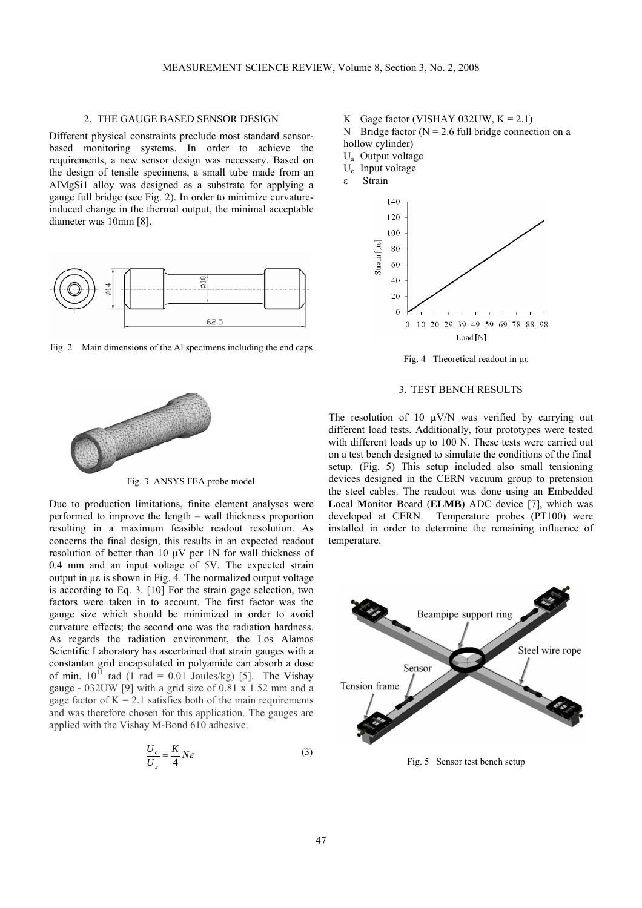## 2. THE GAUGE BASED SENSOR DESIGN

Different physical constraints preclude most standard sensorbased monitoring systems. In order to achieve the requirements, a new sensor design was necessary. Based on the design of tensile specimens, a small tube made from an AlMgSi1 alloy was designed as a substrate for applying a gauge full bridge (see Fig. 2). In order to minimize curvatureinduced change in the thermal output, the minimal acceptable diameter was 10mm [8].



Fig. 2 Main dimensions of the Al specimens including the end caps



Fig. 3 ANSYS FEA probe model

Due to production limitations, finite element analyses were performed to improve the length – wall thickness proportion resulting in a maximum feasible readout resolution. As concerns the final design, this results in an expected readout resolution of better than 10 µV per 1N for wall thickness of 0.4 mm and an input voltage of 5V. The expected strain output in µε is shown in Fig. 4. The normalized output voltage is according to Eq. 3. [10] For the strain gage selection, two factors were taken in to account. The first factor was the gauge size which should be minimized in order to avoid curvature effects; the second one was the radiation hardness. As regards the radiation environment, the Los Alamos Scientific Laboratory has ascertained that strain gauges with a constantan grid encapsulated in polyamide can absorb a dose of min.  $10^{11}$  rad (1 rad = 0.01 Joules/kg) [5]. The Vishay gauge - 032UW [9] with a grid size of 0.81 x 1.52 mm and a gage factor of  $K = 2.1$  satisfies both of the main requirements and was therefore chosen for this application. The gauges are applied with the Vishay M-Bond 610 adhesive.

$$
\frac{U_a}{U_{\varepsilon}} = \frac{K}{4} N \varepsilon \tag{3}
$$

K Gage factor (VISHAY 032UW,  $K = 2.1$ ) N Bridge factor ( $N = 2.6$  full bridge connection on a hollow cylinder)

 $U_a$  Output voltage Ue Input voltage

ε Strain



Fig. 4 Theoretical readout in µε

#### 3. TEST BENCH RESULTS

The resolution of 10  $\mu$ V/N was verified by carrying out different load tests. Additionally, four prototypes were tested with different loads up to 100 N. These tests were carried out on a test bench designed to simulate the conditions of the final setup. (Fig. 5) This setup included also small tensioning devices designed in the CERN vacuum group to pretension the steel cables. The readout was done using an **E**mbedded **L**ocal **M**onitor **B**oard (**ELMB**) ADC device [7], which was developed at CERN. Temperature probes (PT100) were installed in order to determine the remaining influence of temperature.



Fig. 5 Sensor test bench setup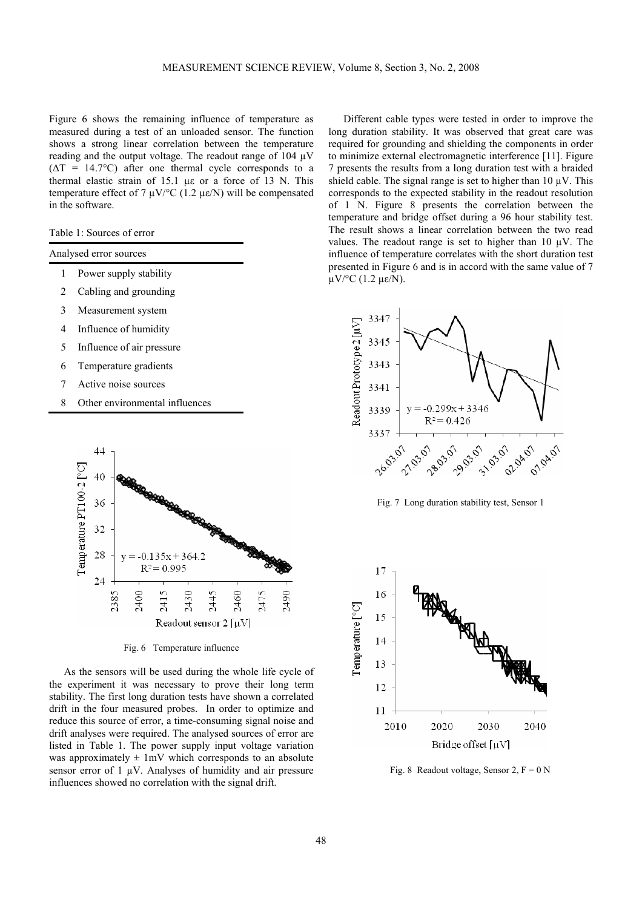Figure 6 shows the remaining influence of temperature as measured during a test of an unloaded sensor. The function shows a strong linear correlation between the temperature reading and the output voltage. The readout range of 104 µV  $(\Delta T = 14.7$ °C) after one thermal cycle corresponds to a thermal elastic strain of 15.1 µε or a force of 13 N. This temperature effect of 7  $\mu$ V/°C (1.2  $\mu$ ε/N) will be compensated in the software.

Table 1: Sources of error

| Analysed error sources |  |  |  |
|------------------------|--|--|--|
|------------------------|--|--|--|

- 1 Power supply stability
- 2 Cabling and grounding
- 3 Measurement system
- 4 Influence of humidity
- 5 Influence of air pressure
- 6 Temperature gradients
- 7 Active noise sources
- 8 Other environmental influences



Fig. 6 Temperature influence

As the sensors will be used during the whole life cycle of the experiment it was necessary to prove their long term stability. The first long duration tests have shown a correlated drift in the four measured probes. In order to optimize and reduce this source of error, a time-consuming signal noise and drift analyses were required. The analysed sources of error are listed in Table 1. The power supply input voltage variation was approximately  $\pm 1$ mV which corresponds to an absolute sensor error of  $1 \mu V$ . Analyses of humidity and air pressure influences showed no correlation with the signal drift.

Different cable types were tested in order to improve the long duration stability. It was observed that great care was required for grounding and shielding the components in order to minimize external electromagnetic interference [11]. Figure 7 presents the results from a long duration test with a braided shield cable. The signal range is set to higher than  $10 \mu V$ . This corresponds to the expected stability in the readout resolution of 1 N. Figure 8 presents the correlation between the temperature and bridge offset during a 96 hour stability test. The result shows a linear correlation between the two read values. The readout range is set to higher than 10  $\mu$ V. The influence of temperature correlates with the short duration test presented in Figure 6 and is in accord with the same value of 7 µV/°C (1.2 µε/N).



Fig. 7 Long duration stability test, Sensor 1



Fig. 8 Readout voltage, Sensor 2,  $F = 0 N$